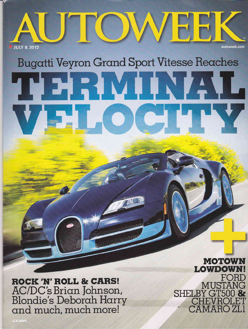

## **Bugatti Veyron Grand Sport Vitesse Reaches**

THE RUITS VIL VEL OCHIN

**ROCK 'N' ROLL & CARS!** AC/DC's Brian Johnson, **Blondie's Deborah Harry** and much, much more!

**MOTOW LOWDOW** FORD MUSTANG SHELBY GT500 & **CHEVROLET**  $2$ AMAROZU